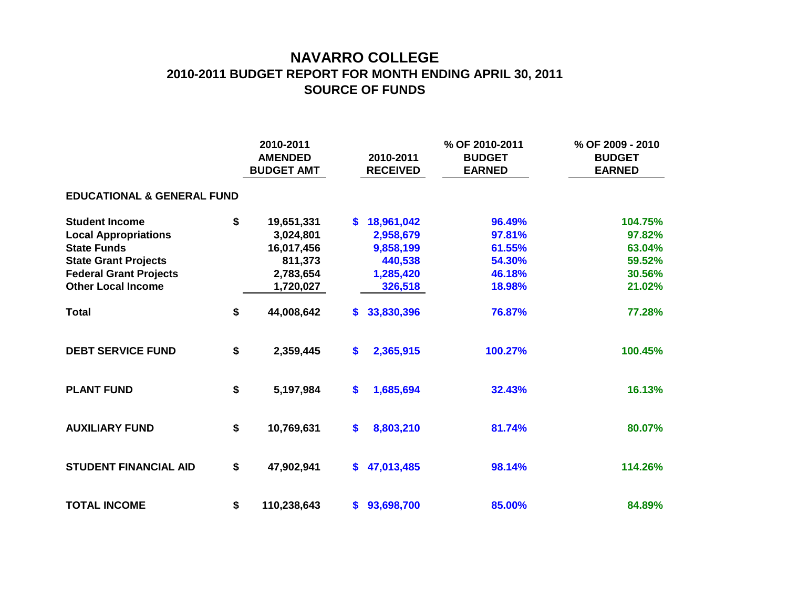## **NAVARRO COLLEGE 2010-2011 BUDGET REPORT FOR MONTH ENDING APRIL 30, 2011 SOURCE OF FUNDS**

|                                       |    | 2010-2011<br><b>AMENDED</b><br><b>BUDGET AMT</b> |              | 2010-2011<br><b>RECEIVED</b> | % OF 2010-2011<br><b>BUDGET</b><br><b>EARNED</b> | % OF 2009 - 2010<br><b>BUDGET</b><br><b>EARNED</b> |  |  |  |  |  |  |  |
|---------------------------------------|----|--------------------------------------------------|--------------|------------------------------|--------------------------------------------------|----------------------------------------------------|--|--|--|--|--|--|--|
| <b>EDUCATIONAL &amp; GENERAL FUND</b> |    |                                                  |              |                              |                                                  |                                                    |  |  |  |  |  |  |  |
| <b>Student Income</b>                 | \$ | 19,651,331                                       | $\mathbf{s}$ | 18,961,042                   | 96.49%                                           | 104.75%                                            |  |  |  |  |  |  |  |
| <b>Local Appropriations</b>           |    | 3,024,801                                        |              | 2,958,679                    | 97.81%                                           | 97.82%                                             |  |  |  |  |  |  |  |
| <b>State Funds</b>                    |    | 16,017,456                                       |              | 9,858,199                    | 61.55%                                           | 63.04%                                             |  |  |  |  |  |  |  |
| <b>State Grant Projects</b>           |    | 811,373                                          |              | 440,538                      | 54.30%                                           | 59.52%                                             |  |  |  |  |  |  |  |
| <b>Federal Grant Projects</b>         |    | 2,783,654                                        |              | 1,285,420                    | 46.18%                                           | 30.56%                                             |  |  |  |  |  |  |  |
| <b>Other Local Income</b>             |    | 1,720,027                                        |              | 326,518                      | 18.98%                                           | 21.02%                                             |  |  |  |  |  |  |  |
| <b>Total</b>                          | \$ | 44,008,642                                       | S.           | 33,830,396                   | 76.87%                                           | 77.28%                                             |  |  |  |  |  |  |  |
| <b>DEBT SERVICE FUND</b>              | \$ | 2,359,445                                        | \$           | 2,365,915                    | 100.27%                                          | 100.45%                                            |  |  |  |  |  |  |  |
| <b>PLANT FUND</b>                     | \$ | 5,197,984                                        | \$           | 1,685,694                    | 32.43%                                           | 16.13%                                             |  |  |  |  |  |  |  |
| <b>AUXILIARY FUND</b>                 | \$ | 10,769,631                                       | \$           | 8,803,210                    | 81.74%                                           | 80.07%                                             |  |  |  |  |  |  |  |
| <b>STUDENT FINANCIAL AID</b>          | \$ | 47,902,941                                       | \$           | 47,013,485                   | 98.14%                                           | 114.26%                                            |  |  |  |  |  |  |  |
| <b>TOTAL INCOME</b>                   | \$ | 110,238,643                                      | \$           | 93,698,700                   | 85.00%                                           | 84.89%                                             |  |  |  |  |  |  |  |